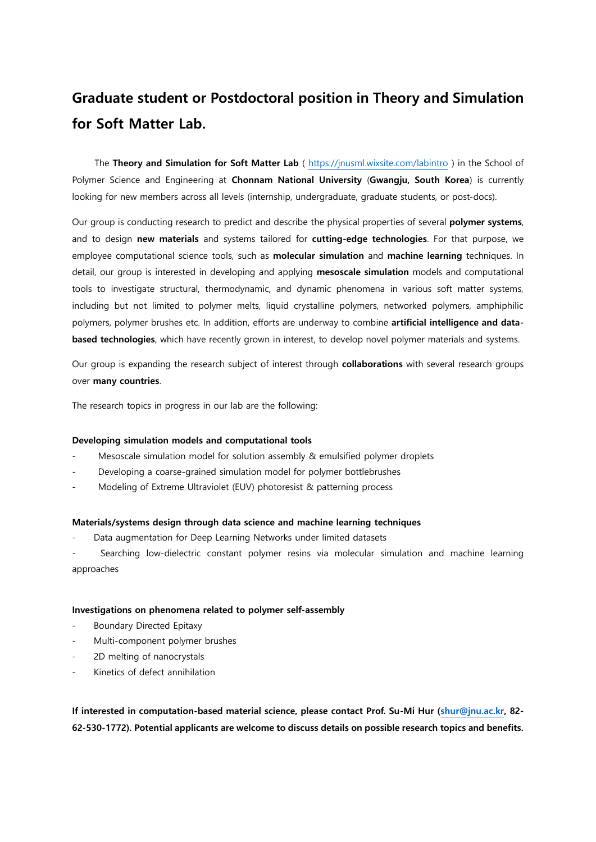# **Graduate student or Postdoctoral position in Theory and Simulation for Soft Matter Lab.**

 The **Theory and Simulation for Soft Matter Lab** (<https://jnusml.wixsite.com/labintro> ) in the School of Polymer Science and Engineering at **Chonnam National University** (**Gwangju, South Korea**) is currently looking for new members across all levels (internship, undergraduate, graduate students, or post-docs).

Our group is conducting research to predict and describe the physical properties of several **polymer systems**, and to design **new materials** and systems tailored for **cutting-edge technologies**. For that purpose, we employee computational science tools, such as **molecular simulation** and **machine learning** techniques. In detail, our group is interested in developing and applying **mesoscale simulation** models and computational tools to investigate structural, thermodynamic, and dynamic phenomena in various soft matter systems, including but not limited to polymer melts, liquid crystalline polymers, networked polymers, amphiphilic polymers, polymer brushes etc. In addition, efforts are underway to combine **artificial intelligence and databased technologies**, which have recently grown in interest, to develop novel polymer materials and systems.

Our group is expanding the research subject of interest through **collaborations** with several research groups over **many countries**.

The research topics in progress in our lab are the following:

## **Developing simulation models and computational tools**

- Mesoscale simulation model for solution assembly & emulsified polymer droplets
- Developing a coarse-grained simulation model for polymer bottlebrushes
- Modeling of Extreme Ultraviolet (EUV) photoresist & patterning process

#### **Materials/systems design through data science and machine learning techniques**

Data augmentation for Deep Learning Networks under limited datasets

Searching low-dielectric constant polymer resins via molecular simulation and machine learning approaches

#### **Investigations on phenomena related to polymer self-assembly**

- Boundary Directed Epitaxy
- Multi-component polymer brushes
- 2D melting of nanocrystals
- Kinetics of defect annihilation

**If interested in computation-based material science, please contact Prof. Su-Mi Hur [\(shur@jnu.ac.kr,](mailto:shur@jnu.ac.kr) 82- 62-530-1772). Potential applicants are welcome to discuss details on possible research topics and benefits.**